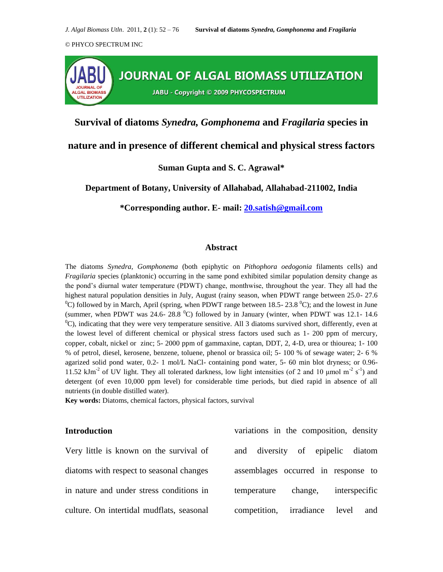

**Survival of diatoms** *Synedra, Gomphonema* **and** *Fragilaria* **species in** 

### **nature and in presence of different chemical and physical stress factors**

#### **Suman Gupta and S. C. Agrawal\***

**Department of Botany, University of Allahabad, Allahabad-211002, India**

**\*Corresponding author. E- mail: [20.satish@gmail.com](mailto:20.satish@gmail.com)**

#### **Abstract**

The diatoms *Synedra, Gomphonema* (both epiphytic on *Pithophora oedogonia* filaments cells) and *Fragilaria* species (planktonic) occurring in the same pond exhibited similar population density change as the pond's diurnal water temperature (PDWT) change, monthwise, throughout the year. They all had the highest natural population densities in July, August (rainy season, when PDWT range between 25.0-27.6  $\rm{^{0}C}$ ) followed by in March, April (spring, when PDWT range between 18.5- 23.8  $\rm{^{0}C}$ ); and the lowest in June (summer, when PDWT was 24.6- 28.8  $^{\circ}$ C) followed by in January (winter, when PDWT was 12.1-14.6  $^{0}$ C), indicating that they were very temperature sensitive. All 3 diatoms survived short, differently, even at the lowest level of different chemical or physical stress factors used such as 1- 200 ppm of mercury, copper, cobalt, nickel or zinc; 5- 2000 ppm of gammaxine, captan, DDT, 2, 4-D, urea or thiourea; 1- 100 % of petrol, diesel, kerosene, benzene, toluene, phenol or brassica oil; 5- 100 % of sewage water; 2- 6 % agarized solid pond water, 0.2- 1 mol/L NaCl- containing pond water, 5- 60 min blot dryness; or 0.96- 11.52 kJm<sup>-2</sup> of UV light. They all tolerated darkness, low light intensities (of 2 and 10 µmol m<sup>-2</sup> s<sup>-1</sup>) and detergent (of even 10,000 ppm level) for considerable time periods, but died rapid in absence of all nutrients (in double distilled water).

**Key words:** Diatoms, chemical factors, physical factors, survival

#### **Introduction**

Very little is known on the survival of diatoms with respect to seasonal changes in nature and under stress conditions in culture. On intertidal mudflats, seasonal variations in the composition, density and diversity of epipelic diatom assemblages occurred in response to temperature change, interspecific competition, irradiance level and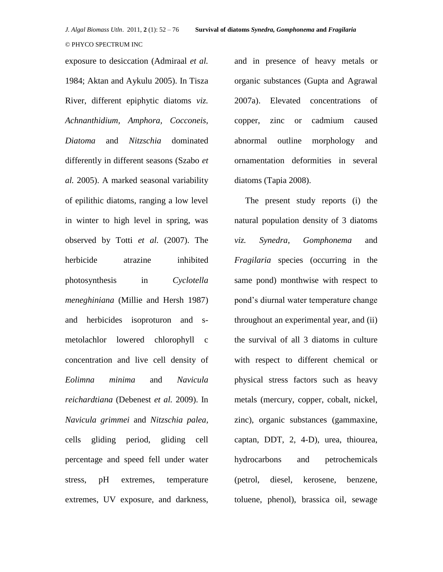exposure to desiccation (Admiraal *et al.* 1984; Aktan and Aykulu 2005). In Tisza River, different epiphytic diatoms *viz. Achnanthidium, Amphora, Cocconeis, Diatoma* and *Nitzschia* dominated differently in different seasons (Szabo *et al.* 2005). A marked seasonal variability of epilithic diatoms, ranging a low level in winter to high level in spring, was observed by Totti *et al.* (2007). The herbicide atrazine inhibited photosynthesis in *Cyclotella meneghiniana* (Millie and Hersh 1987) and herbicides isoproturon and smetolachlor lowered chlorophyll c concentration and live cell density of *Eolimna minima* and *Navicula reichardtiana* (Debenest *et al.* 2009). In *Navicula grimmei* and *Nitzschia palea,*  cells gliding period, gliding cell percentage and speed fell under water stress, pH extremes, temperature

extremes, UV exposure, and darkness,

and in presence of heavy metals or organic substances (Gupta and Agrawal 2007a). Elevated concentrations of copper, zinc or cadmium caused abnormal outline morphology and ornamentation deformities in several diatoms (Tapia 2008).

 The present study reports (i) the natural population density of 3 diatoms *viz. Synedra, Gomphonema* and *Fragilaria* species (occurring in the same pond) monthwise with respect to pond's diurnal water temperature change throughout an experimental year, and (ii) the survival of all 3 diatoms in culture with respect to different chemical or physical stress factors such as heavy metals (mercury, copper, cobalt, nickel, zinc), organic substances (gammaxine, captan, DDT, 2, 4-D), urea, thiourea, hydrocarbons and petrochemicals (petrol, diesel, kerosene, benzene, toluene, phenol), brassica oil, sewage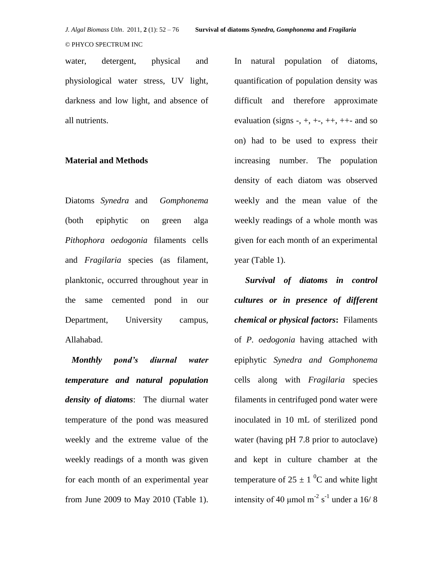water, detergent, physical and physiological water stress, UV light, darkness and low light, and absence of all nutrients.

#### **Material and Methods**

Diatoms *Synedra* and *Gomphonema* (both epiphytic on green alga *Pithophora oedogonia* filaments cells and *Fragilaria* species (as filament, planktonic, occurred throughout year in the same cemented pond in our Department, University campus, Allahabad.

*Monthly pond's diurnal water temperature and natural population density of diatoms*: The diurnal water temperature of the pond was measured weekly and the extreme value of the weekly readings of a month was given for each month of an experimental year from June 2009 to May 2010 (Table 1).

In natural population of diatoms, quantification of population density was difficult and therefore approximate evaluation (signs  $-$ ,  $+$ ,  $+$ –,  $++$ ,  $++$ - and so on) had to be used to express their increasing number. The population density of each diatom was observed weekly and the mean value of the weekly readings of a whole month was given for each month of an experimental year (Table 1).

 *Survival of diatoms in control cultures or in presence of different chemical or physical factors***:** Filaments of *P. oedogonia* having attached with epiphytic *Synedra and Gomphonema* cells along with *Fragilaria* species filaments in centrifuged pond water were inoculated in 10 mL of sterilized pond water (having pH 7.8 prior to autoclave) and kept in culture chamber at the temperature of  $25 \pm 1$  °C and white light intensity of 40  $\mu$ mol m<sup>-2</sup> s<sup>-1</sup> under a 16/8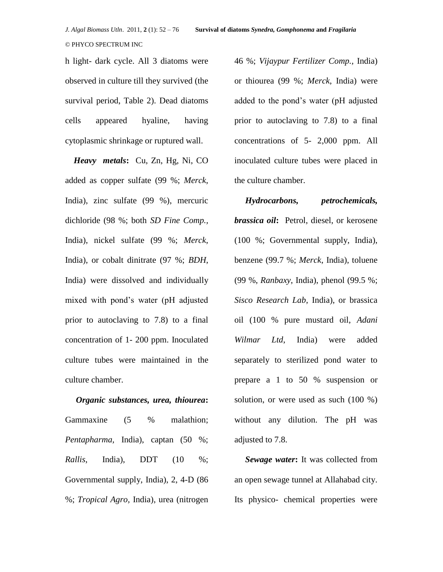h light- dark cycle. All 3 diatoms were observed in culture till they survived (the survival period, Table 2). Dead diatoms cells appeared hyaline, having cytoplasmic shrinkage or ruptured wall.

 *Heavy metals***:** Cu, Zn, Hg, Ni, CO added as copper sulfate (99 %; *Merck*, India), zinc sulfate (99 %), mercuric dichloride (98 %; both *SD Fine Comp.,* India), nickel sulfate (99 %; *Merck*, India), or cobalt dinitrate (97 %; *BDH*, India) were dissolved and individually mixed with pond's water (pH adjusted prior to autoclaving to 7.8) to a final concentration of 1- 200 ppm. Inoculated culture tubes were maintained in the culture chamber.

*Organic substances, urea, thiourea***:** Gammaxine (5 % malathion; *Pentapharma,* India), captan (50 %; *Rallis*, India), DDT (10 %; Governmental supply, India), 2, 4-D (86 %; *Tropical Agro,* India), urea (nitrogen 46 %; *Vijaypur Fertilizer Comp.,* India) or thiourea (99 %; *Merck*, India) were added to the pond's water (pH adjusted prior to autoclaving to 7.8) to a final concentrations of 5- 2,000 ppm. All inoculated culture tubes were placed in the culture chamber.

 *Hydrocarbons, petrochemicals, brassica oil***:** Petrol, diesel, or kerosene (100 %; Governmental supply, India), benzene (99.7 %; *Merck*, India), toluene (99 %, *Ranbaxy*, India), phenol (99.5 %; *Sisco Research Lab*, India), or brassica oil (100 % pure mustard oil, *Adani Wilmar Ltd*, India) were added separately to sterilized pond water to prepare a 1 to 50 % suspension or solution, or were used as such (100 %) without any dilution. The pH was adjusted to 7.8.

 *Sewage water***:** It was collected from an open sewage tunnel at Allahabad city. Its physico- chemical properties were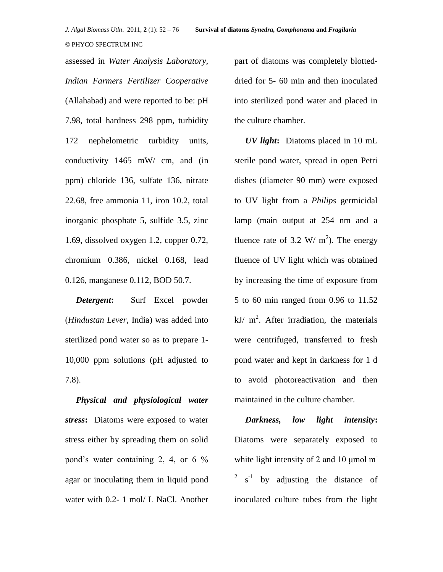assessed in *Water Analysis Laboratory, Indian Farmers Fertilizer Cooperative*  (Allahabad) and were reported to be: pH 7.98, total hardness 298 ppm, turbidity 172 nephelometric turbidity units, conductivity 1465 mW/ cm, and (in ppm) chloride 136, sulfate 136, nitrate 22.68, free ammonia 11, iron 10.2, total inorganic phosphate 5, sulfide 3.5, zinc 1.69, dissolved oxygen 1.2, copper 0.72, chromium 0.386, nickel 0.168, lead 0.126, manganese 0.112, BOD 50.7.

 *Detergent***:** Surf Excel powder (*Hindustan Lever*, India) was added into sterilized pond water so as to prepare 1- 10,000 ppm solutions (pH adjusted to 7.8).

*Physical and physiological water stress***:** Diatoms were exposed to water stress either by spreading them on solid pond's water containing 2, 4, or 6 % agar or inoculating them in liquid pond water with 0.2- 1 mol/ L NaCl. Another

part of diatoms was completely blotteddried for 5- 60 min and then inoculated into sterilized pond water and placed in the culture chamber.

 *UV light***:** Diatoms placed in 10 mL sterile pond water, spread in open Petri dishes (diameter 90 mm) were exposed to UV light from a *Philips* germicidal lamp (main output at 254 nm and a fluence rate of 3.2 W/  $m^2$ ). The energy fluence of UV light which was obtained by increasing the time of exposure from 5 to 60 min ranged from 0.96 to 11.52 kJ/  $m^2$ . After irradiation, the materials were centrifuged, transferred to fresh pond water and kept in darkness for 1 d to avoid photoreactivation and then maintained in the culture chamber.

 *Darkness, low light intensity***:** Diatoms were separately exposed to white light intensity of 2 and 10  $\mu$ mol m<sup>-</sup>  $2^2$  s<sup>-1</sup> by adjusting the distance of inoculated culture tubes from the light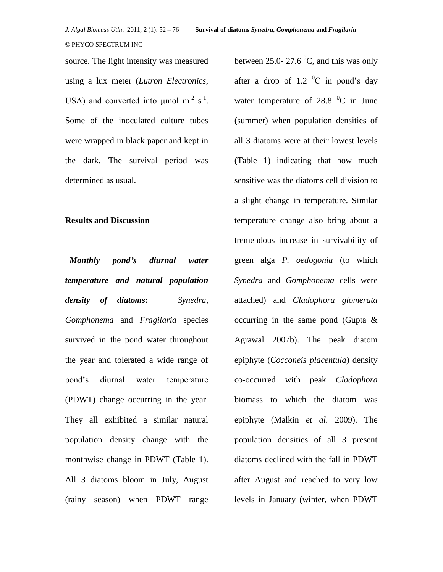source. The light intensity was measured using a lux meter (*Lutron Electronics*, USA) and converted into  $\mu$ mol m<sup>-2</sup> s<sup>-1</sup>. Some of the inoculated culture tubes were wrapped in black paper and kept in the dark. The survival period was determined as usual.

#### **Results and Discussion**

*Monthly pond's diurnal water temperature and natural population density of diatoms***:** *Synedra, Gomphonema* and *Fragilaria* species survived in the pond water throughout the year and tolerated a wide range of pond's diurnal water temperature (PDWT) change occurring in the year. They all exhibited a similar natural population density change with the monthwise change in PDWT (Table 1). All 3 diatoms bloom in July, August (rainy season) when PDWT range

between 25.0- 27.6  $^{0}C$ , and this was only after a drop of 1.2  $^{0}C$  in pond's day water temperature of  $28.8\text{ °C}$  in June (summer) when population densities of all 3 diatoms were at their lowest levels (Table 1) indicating that how much sensitive was the diatoms cell division to a slight change in temperature. Similar temperature change also bring about a tremendous increase in survivability of green alga *P. oedogonia* (to which *Synedra* and *Gomphonema* cells were attached) and *Cladophora glomerata*  occurring in the same pond (Gupta & Agrawal 2007b). The peak diatom epiphyte (*Cocconeis placentula*) density co-occurred with peak *Cladophora*  biomass to which the diatom was epiphyte (Malkin *et al.* 2009). The population densities of all 3 present diatoms declined with the fall in PDWT after August and reached to very low levels in January (winter, when PDWT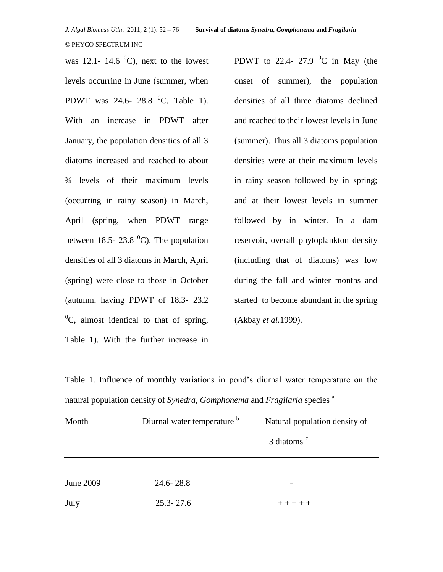was 12.1- 14.6  $^0$ C), next to the lowest levels occurring in June (summer, when PDWT was 24.6- 28.8  $^{0}C$ , Table 1). With an increase in PDWT after January, the population densities of all 3 diatoms increased and reached to about ¾ levels of their maximum levels (occurring in rainy season) in March, April (spring, when PDWT range between 18.5- 23.8  $^0$ C). The population densities of all 3 diatoms in March, April (spring) were close to those in October (autumn, having PDWT of 18.3- 23.2  ${}^{0}C$ , almost identical to that of spring, Table 1). With the further increase in PDWT to 22.4- 27.9  $\mathrm{^0C}$  in May (the onset of summer), the population densities of all three diatoms declined and reached to their lowest levels in June (summer). Thus all 3 diatoms population densities were at their maximum levels in rainy season followed by in spring; and at their lowest levels in summer followed by in winter. In a dam reservoir, overall phytoplankton density (including that of diatoms) was low during the fall and winter months and started to become abundant in the spring (Akbay *et al.*1999).

Table 1. Influence of monthly variations in pond's diurnal water temperature on the natural population density of *Synedra, Gomphonema* and *Fragilaria* species <sup>a</sup>

| Month     | Diurnal water temperature <sup>b</sup> | Natural population density of |
|-----------|----------------------------------------|-------------------------------|
|           |                                        | 3 diatoms <sup>c</sup>        |
|           |                                        |                               |
| June 2009 | $24.6 - 28.8$                          |                               |
| July      | $25.3 - 27.6$                          | $+ + + + +$                   |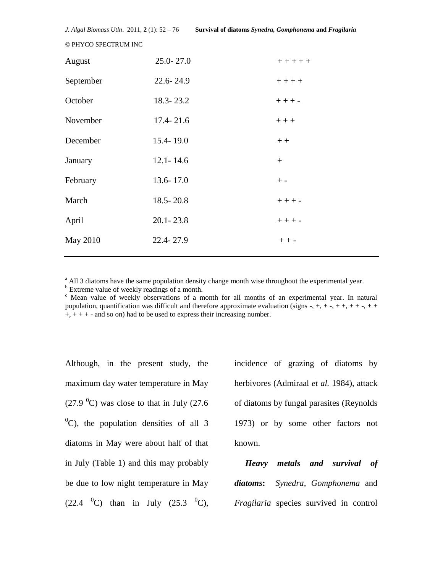| August    | 25.0-27.0     | $+ + + + +$ |
|-----------|---------------|-------------|
| September | 22.6-24.9     | $++++$      |
| October   | 18.3-23.2     | $++++-$     |
| November  | $17.4 - 21.6$ | $+++$       |
| December  | 15.4-19.0     | $++$        |
| January   | $12.1 - 14.6$ | $^{+}$      |
| February  | 13.6-17.0     | $+ -$       |
| March     | $18.5 - 20.8$ | $++ + -$    |
| April     | $20.1 - 23.8$ | $++ + -$    |
| May 2010  | 22.4-27.9     | $++-$       |
|           |               |             |

<sup>a</sup> All 3 diatoms have the same population density change month wise throughout the experimental year.

<sup>b</sup> Extreme value of weekly readings of a month.

<sup>c</sup> Mean value of weekly observations of a month for all months of an experimental year. In natural population, quantification was difficult and therefore approximate evaluation (signs -, +, + -, + +, + + -, + +  $+, + + +$  - and so on) had to be used to express their increasing number.

Although, in the present study, the maximum day water temperature in May (27.9  $^{\circ}$ C) was close to that in July (27.6  $^{0}$ C), the population densities of all 3 diatoms in May were about half of that in July (Table 1) and this may probably be due to low night temperature in May  $(22.4 \text{ } {}^{0}C)$  than in July  $(25.3 \text{ } {}^{0}C)$ ,

incidence of grazing of diatoms by herbivores (Admiraal *et al.* 1984), attack of diatoms by fungal parasites (Reynolds 1973) or by some other factors not known.

 *Heavy metals and survival of diatoms***:** *Synedra, Gomphonema* and *Fragilaria* species survived in control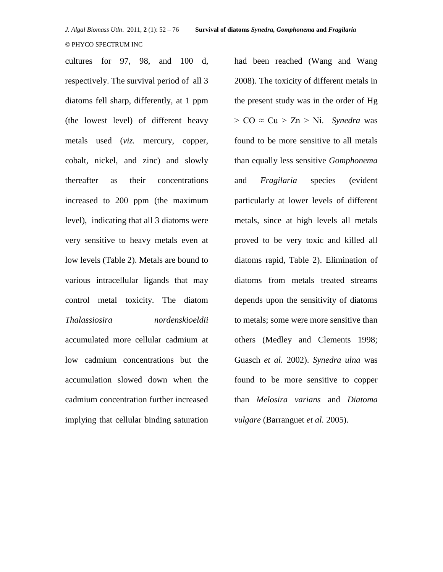cultures for 97, 98, and 100 d, respectively. The survival period of all 3 diatoms fell sharp, differently, at 1 ppm (the lowest level) of different heavy metals used (*viz.* mercury, copper, cobalt, nickel, and zinc) and slowly thereafter as their concentrations increased to 200 ppm (the maximum level), indicating that all 3 diatoms were very sensitive to heavy metals even at low levels (Table 2). Metals are bound to various intracellular ligands that may control metal toxicity. The diatom *Thalassiosira nordenskioeldii*  accumulated more cellular cadmium at low cadmium concentrations but the accumulation slowed down when the cadmium concentration further increased implying that cellular binding saturation had been reached (Wang and Wang 2008). The toxicity of different metals in the present study was in the order of Hg  $> CO \approx Cu > Zn > Ni$ . *Synedra* was found to be more sensitive to all metals than equally less sensitive *Gomphonema* and *Fragilaria* species (evident particularly at lower levels of different metals, since at high levels all metals proved to be very toxic and killed all diatoms rapid, Table 2). Elimination of diatoms from metals treated streams depends upon the sensitivity of diatoms to metals; some were more sensitive than others (Medley and Clements 1998; Guasch *et al.* 2002). *Synedra ulna* was found to be more sensitive to copper than *Melosira varians* and *Diatoma vulgare* (Barranguet *et al.* 2005).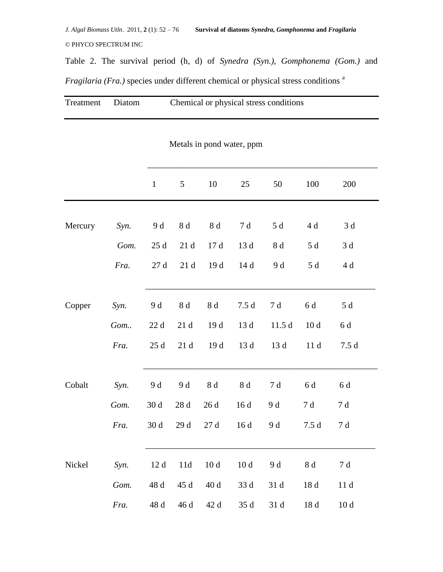*J. Algal Biomass Utln*. 2011, **2** (1): 52 – 76 **Survival of diatoms** *Synedra, Gomphonema* **and** *Fragilaria* © PHYCO SPECTRUM INC

Table 2. The survival period (h, d) of *Synedra (Syn.), Gomphonema (Gom.)* and *Fragilaria (Fra.)* species under different chemical or physical stress conditions<sup>a</sup>

| Treatment | Diatom | Chemical or physical stress conditions |  |
|-----------|--------|----------------------------------------|--|
|           |        | Metals in pond water, ppm              |  |

|         |      | $\mathbf{1}$    | 5            | 10              | 25   | 50           | 100             | 200             |  |
|---------|------|-----------------|--------------|-----------------|------|--------------|-----------------|-----------------|--|
|         |      |                 |              |                 |      |              |                 |                 |  |
| Mercury | Syn. | 9 d             | $8\;\rm{d}$  | 8d              | 7 d  | 5 d          | 4 d             | 3d              |  |
|         | Gom. | $25\;\rm{d}$    | 21d          | 17d             | 13 d | 8 d          | $5\,\mathrm{d}$ | 3d              |  |
|         | Fra. | $27~\mathrm{d}$ | 21d          | 19 d            | 14d  | 9 d          | $5d$            | $4\,\mathrm{d}$ |  |
|         |      |                 |              |                 |      |              |                 |                 |  |
| Copper  | Syn. | 9 d             | $8\;\rm{d}$  | 8d              | 7.5d | 7 d          | 6 d             | 5d              |  |
|         | Gom  | 22d             | 21d          | 19d             | 13 d | 11.5d        | 10d             | 6 d             |  |
|         | Fra. | 25d             | $21\;\rm{d}$ | 19 d            | 13 d | 13 d         | 11d             | 7.5d            |  |
|         |      |                 |              |                 |      |              |                 |                 |  |
| Cobalt  | Syn. | 9 d             | 9 d          | 8d              | 8d   | 7d           | 6 d             | 6 d             |  |
|         | Gom. | 30d             | $28\;\rm{d}$ | $26\,\rm{d}$    | 16d  | 9 d          | 7 d             | 7 d             |  |
|         | Fra. | 30d             | 29 d         | $27~\mathrm{d}$ | 16d  | 9 d          | 7.5d            | $7\,\mathrm{d}$ |  |
|         |      |                 |              |                 |      |              |                 |                 |  |
| Nickel  | Syn. | 12d             | 11d          | 10d             | 10d  | 9 d          | 8 d             | 7 d             |  |
|         | Gom. | 48 d            | 45 d         | 40 d            | 33 d | 31 d         | 18d             | 11d             |  |
|         | Fra. | 48 d            | 46 d         | 42 d            | 35 d | $31\,\rm{d}$ | $18\;\rm{d}$    | 10d             |  |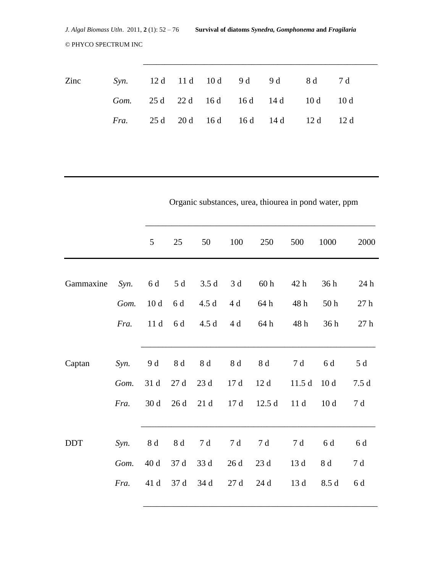| Zinc |  |  | Syn. 12d 11d 10d 9d 9d 8d 7d                   |  |
|------|--|--|------------------------------------------------|--|
|      |  |  | Gom. 25 d 22 d 16 d 16 d 14 d 10 d 10 d        |  |
|      |  |  | <i>Fra.</i> 25 d 20 d 16 d 16 d 14 d 12 d 12 d |  |

\_\_\_\_\_\_\_\_\_\_\_\_\_\_\_\_\_\_\_\_\_\_\_\_\_\_\_\_\_\_\_\_\_\_\_\_\_\_\_\_\_\_\_\_\_\_\_\_\_\_\_\_\_\_

|            |      |                 | Organic substances, urea, thiourea in pond water, ppm |              |              |                 |       |                 |                  |
|------------|------|-----------------|-------------------------------------------------------|--------------|--------------|-----------------|-------|-----------------|------------------|
|            |      | 5               | 25                                                    | 50           | 100          | 250             | 500   | 1000            | 2000             |
|            |      |                 |                                                       |              |              |                 |       |                 |                  |
| Gammaxine  | Syn. | 6 d             | $5d$                                                  | 3.5d         | 3d           | 60 <sub>h</sub> | 42 h  | 36h             | 24 h             |
|            | Gom. | 10d             | 6 d                                                   | 4.5d         | 4 d          | 64 h            | 48h   | 50 <sub>h</sub> | 27h              |
|            | Fra. | 11d             | 6 d                                                   | 4.5d         | 4 d          | 64 h            | 48h   | 36h             | $27\ \mathrm{h}$ |
| Captan     | Syn. | 9 d             | 8 d                                                   | 8 d          | 8 d          | 8 d             | 7d    | 6 d             | 5 d              |
|            | Gom. | 31 d            | 27d                                                   | 23 d         | 17d          | 12d             | 11.5d | 10d             | 7.5d             |
|            | Fra. | 30d             | 26d                                                   | $21\;\rm{d}$ | $17\;\rm{d}$ | 12.5d           | 11d   | 10d             | $7\;\mathrm{d}$  |
| <b>DDT</b> | Syn. | $8\,\mathrm{d}$ | $8\,\mathrm{d}$                                       | 7d           | 7d           | 7d              | 7 d   | 6 d             | 6 d              |
|            | Gom. | $40\;\rm{d}$    | 37 d                                                  | 33 d         | 26d          | $23\;\rm{d}$    | 13 d  | $8\;\rm{d}$     | $7\;\rm{d}$      |
|            | Fra. | 41 d            | 37 d                                                  | 34 d         | 27d          | 24d             | 13 d  | 8.5 d           | 6 d              |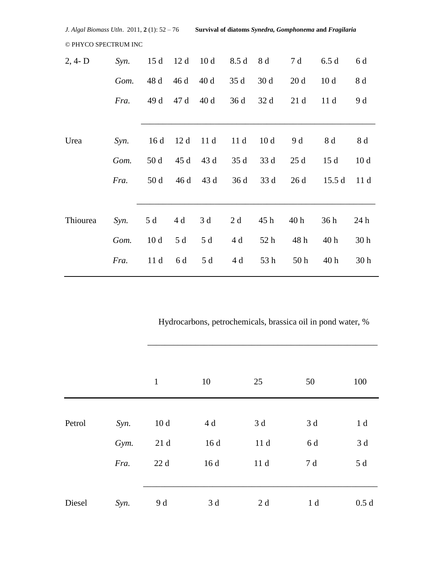| J. Algal Biomass Utln. 2011, 2(1): 52 - 76 |      |      |      | Survival of diatoms Synedra, Gomphonema and Fragilaria |      |                 |                 |                 |                 |
|--------------------------------------------|------|------|------|--------------------------------------------------------|------|-----------------|-----------------|-----------------|-----------------|
| © PHYCO SPECTRUM INC                       |      |      |      |                                                        |      |                 |                 |                 |                 |
| $2, 4 - D$                                 | Syn. | 15d  | 12d  | 10 <sub>d</sub>                                        | 8.5d | 8 d             | 7 d             | 6.5d            | 6 d             |
|                                            | Gom. | 48 d | 46 d | 40d                                                    | 35d  | 30d             | 20d             | 10d             | 8 d             |
|                                            | Fra. | 49 d | 47 d | 40d                                                    | 36d  | 32 d            | 21d             | 11d             | 9 d             |
| Urea                                       | Syn. | 16d  | 12d  | 11d                                                    | 11d  | 10 <sub>d</sub> | 9 d             | 8 d             | 8 d             |
|                                            | Gom. | 50d  | 45 d | 43 d                                                   | 35d  | 33 d            | 25d             | 15d             | 10 <sub>d</sub> |
|                                            | Fra. | 50d  | 46 d | 43 d                                                   | 36d  | 33 d            | 26d             | 15.5d           | 11d             |
|                                            |      |      |      |                                                        |      |                 |                 |                 |                 |
| Thiourea                                   | Syn. | 5 d  | 4 d  | 3d                                                     | 2d   | 45 h            | 40 h            | 36h             | 24 h            |
|                                            | Gom. | 10d  | 5 d  | 5 d                                                    | 4 d  | 52 h            | 48 h            | 40 <sub>h</sub> | 30 <sub>h</sub> |
|                                            | Fra. | 11d  | 6 d  | 5 d                                                    | 4 d  | 53 h            | 50 <sub>h</sub> | 40 h            | 30 <sub>h</sub> |

Hydrocarbons, petrochemicals, brassica oil in pond water, %

|        |      | $\mathbf{1}$ | 10  | 25  | 50             | 100            |
|--------|------|--------------|-----|-----|----------------|----------------|
| Petrol | Syn. | 10d          | 4 d | 3 d | 3 d            | 1 <sub>d</sub> |
|        | Gym. | 21d          | 16d | 11d | 6 d            | 3d             |
|        | Fra. | 22d          | 16d | 11d | 7 d            | 5d             |
| Diesel | Syn. | 9 d          | 3 d | 2 d | 1 <sub>d</sub> | 0.5d           |

 $\overline{\phantom{a}}$  ,  $\overline{\phantom{a}}$  ,  $\overline{\phantom{a}}$  ,  $\overline{\phantom{a}}$  ,  $\overline{\phantom{a}}$  ,  $\overline{\phantom{a}}$  ,  $\overline{\phantom{a}}$  ,  $\overline{\phantom{a}}$  ,  $\overline{\phantom{a}}$  ,  $\overline{\phantom{a}}$  ,  $\overline{\phantom{a}}$  ,  $\overline{\phantom{a}}$  ,  $\overline{\phantom{a}}$  ,  $\overline{\phantom{a}}$  ,  $\overline{\phantom{a}}$  ,  $\overline{\phantom{a}}$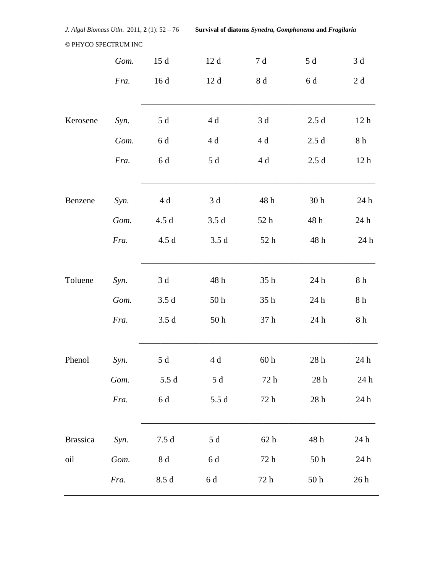*J. Algal Biomass Utln*. 2011, **2** (1): 52 – 76 **Survival of diatoms** *Synedra, Gomphonema* **and** *Fragilaria*

#### © PHYCO SPECTRUM INC

|                 | Gom. | 15d             | 12d             | $7\;\rm{d}$      | 5 d                          | $3\,\mathrm{d}$  |
|-----------------|------|-----------------|-----------------|------------------|------------------------------|------------------|
|                 | Fra. | 16d             | 12d             | 8 d              | 6 d                          | $2\;\rm{d}$      |
| Kerosene        | Syn. | 5d              | 4d              | 3d               | 2.5d                         | 12 <sub>h</sub>  |
|                 | Gom. | $6\,\mathrm{d}$ | 4d              | 4 d              | 2.5d                         | 8h               |
|                 | Fra. | 6 d             | 5 d             | 4 d              | 2.5d                         | 12h              |
| Benzene         | Syn. | 4 d             | 3d              | 48 h             | 30 <sub>h</sub>              | 24 h             |
|                 | Gom. | 4.5d            | 3.5d            | 52 h             | 48 h                         | 24 h             |
|                 | Fra. | 4.5d            | 3.5d            | 52 h             | 48 h                         | $24\ \mathrm{h}$ |
| Toluene         | Syn. | 3d              | 48 h            | 35h              | 24 h                         | $8\ \mathrm{h}$  |
|                 | Gom. | 3.5d            | 50 <sub>h</sub> | 35h              | 24 h                         | $8\ \mathrm{h}$  |
|                 | Fra. | 3.5d            | 50 <sub>h</sub> | 37 <sub>h</sub>  | 24 h                         | $8\ \mathrm{h}$  |
| Phenol          | Syn. | 5d              | 4 d             | 60 <sub>h</sub>  | 28 <sub>h</sub>              | 24 h             |
|                 | Gom. | 5.5d            | 5 d             | $72\ \mathrm{h}$ | $28\ \mathrm{h}$             | 24 h             |
|                 | Fra. | $6\,\mathrm{d}$ | 5.5d            | $72\ \mathrm{h}$ | $28\ \mathrm{h}$             | $24\ \mathrm{h}$ |
| <b>Brassica</b> | Syn. | 7.5d            | 5d              | 62h              | 48 h                         | 24 h             |
| oil             | Gom. | $8\,\mathrm{d}$ | 6 d             | 72h              | $50\,\ensuremath{\,{\rm h}}$ | 24 h             |
|                 | Fra. | 8.5d            | 6 d             | 72 h             | 50 <sub>h</sub>              | 26h              |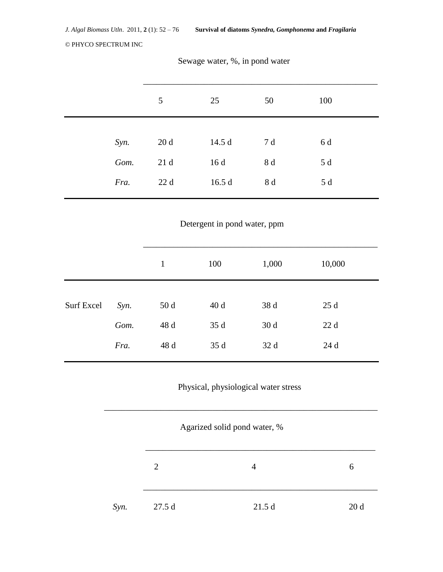|      | $5\overline{)}$ | 25    | 50  | 100 |  |
|------|-----------------|-------|-----|-----|--|
|      |                 |       |     |     |  |
| Syn. | 20d             | 14.5d | 7 d | 6 d |  |
| Gom. | 21d             | 16d   | 8 d | 5 d |  |
| Fra. | 22d             | 16.5d | 8 d | 5 d |  |

# Sewage water, %, in pond water

Detergent in pond water, ppm

|                   |      | 1    | 100  | 1,000 | 10,000 |
|-------------------|------|------|------|-------|--------|
|                   |      |      |      |       |        |
| <b>Surf Excel</b> | Syn. | 50d  | 40d  | 38 d  | 25d    |
|                   | Gom. | 48 d | 35 d | 30d   | 22d    |
|                   | Fra. | 48 d | 35d  | 32d   | 24d    |
|                   |      |      |      |       |        |

# Physical, physiological water stress

\_\_\_\_\_\_\_\_\_\_\_\_\_\_\_\_\_\_\_\_\_\_\_\_\_\_\_\_\_\_\_\_\_\_\_\_\_\_\_\_\_\_\_\_\_\_\_\_\_\_\_\_\_\_\_\_\_\_\_\_\_\_\_

 $\overline{\phantom{a}}$  ,  $\overline{\phantom{a}}$  ,  $\overline{\phantom{a}}$  ,  $\overline{\phantom{a}}$  ,  $\overline{\phantom{a}}$  ,  $\overline{\phantom{a}}$  ,  $\overline{\phantom{a}}$  ,  $\overline{\phantom{a}}$  ,  $\overline{\phantom{a}}$  ,  $\overline{\phantom{a}}$  ,  $\overline{\phantom{a}}$  ,  $\overline{\phantom{a}}$  ,  $\overline{\phantom{a}}$  ,  $\overline{\phantom{a}}$  ,  $\overline{\phantom{a}}$  ,  $\overline{\phantom{a}}$ 

|  | Agarized solid pond water, % |  |
|--|------------------------------|--|
|  |                              |  |

| 27.5d<br>21.5d<br>Syn. | 20d |
|------------------------|-----|
|------------------------|-----|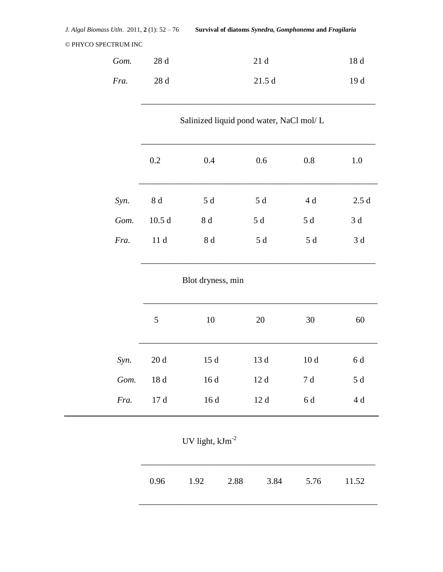| Gom. 28 d |      | 21 d  | 18 d |
|-----------|------|-------|------|
| Fra.      | 28 d | 21.5d | 19 d |

\_\_\_\_\_\_\_\_\_\_\_\_\_\_\_\_\_\_\_\_\_\_\_\_\_\_\_\_\_\_\_\_\_\_\_\_\_\_\_\_\_\_\_\_\_\_\_\_\_\_\_\_\_\_

Salinized liquid pond water, NaCl mol/ L

|      | 0.2   | 0.4 | 0.6 | 0.8 | 1.0  |
|------|-------|-----|-----|-----|------|
| Syn. | 8 d   | 5 d | 5 d | 4 d | 2.5d |
| Gom. | 10.5d | 8 d | 5 d | 5 d | 3 d  |
| Fra. | 11d   | 8 d | 5 d | 5 d | 3 d  |

Blot dryness, min

\_\_\_\_\_\_\_\_\_\_\_\_\_\_\_\_\_\_\_\_\_\_\_\_\_\_\_\_\_\_\_\_\_\_\_\_\_\_\_\_\_\_\_\_\_\_\_\_\_\_\_\_\_\_

|      | 5 <sup>5</sup> | 10  | 20  | 30              | 60  |
|------|----------------|-----|-----|-----------------|-----|
| Syn. | 20d            | 15d | 13d | 10 <sub>d</sub> | 6 d |
| Gom. | 18 d           | 16d | 12d | 7 d             | 5 d |
| Fra. | 17d            | 16d | 12d | 6 d             | 4 d |

UV light,  ${\rm kJm}^{\text{-}2}$ 

\_\_\_\_\_\_\_\_\_\_\_\_\_\_\_\_\_\_\_\_\_\_\_\_\_\_\_\_\_\_\_\_\_\_\_\_\_\_\_\_\_\_\_\_\_\_\_\_\_\_\_\_\_\_\_

|  |  | 0.96 1.92 2.88 3.84 5.76 11.52 |  |
|--|--|--------------------------------|--|
|  |  |                                |  |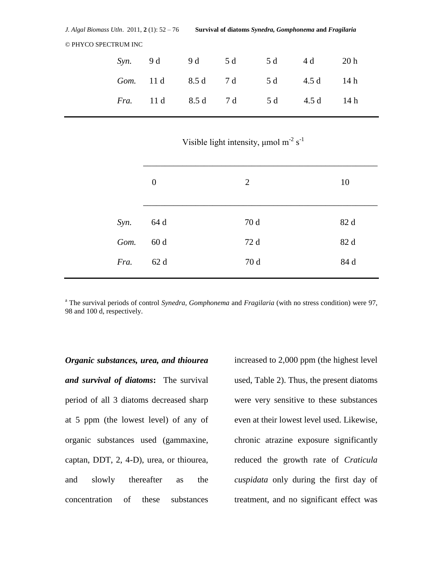Visible light intensity,  $\mu$ mol m<sup>-2</sup> s<sup>-1</sup>

|      | $\boldsymbol{0}$ | 2    | 10   |
|------|------------------|------|------|
| Syn. | 64 d             | 70 d | 82 d |
| Gom. | 60d              | 72 d | 82 d |
| Fra. | 62 d             | 70 d | 84 d |
|      |                  |      |      |

<sup>a</sup> The survival periods of control *Synedra, Gomphonema* and *Fragilaria* (with no stress condition) were 97, 98 and 100 d, respectively.

*Organic substances, urea, and thiourea and survival of diatoms***:** The survival period of all 3 diatoms decreased sharp at 5 ppm (the lowest level) of any of organic substances used (gammaxine, captan, DDT, 2, 4-D), urea, or thiourea, and slowly thereafter as the concentration of these substances

increased to 2,000 ppm (the highest level used, Table 2). Thus, the present diatoms were very sensitive to these substances even at their lowest level used. Likewise, chronic atrazine exposure significantly reduced the growth rate of *Craticula cuspidata* only during the first day of treatment, and no significant effect was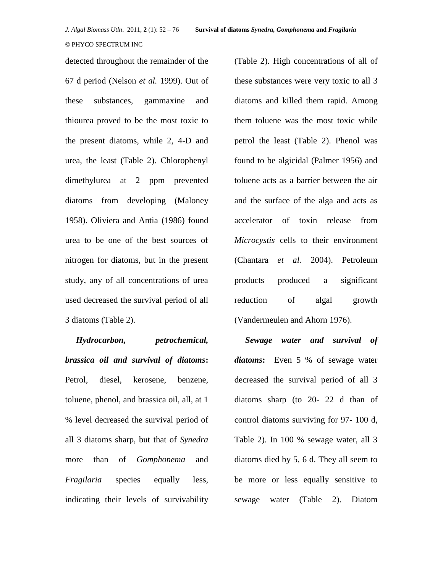detected throughout the remainder of the 67 d period (Nelson *et al.* 1999). Out of these substances, gammaxine and thiourea proved to be the most toxic to the present diatoms, while 2, 4-D and urea, the least (Table 2). Chlorophenyl dimethylurea at 2 ppm prevented diatoms from developing (Maloney 1958). Oliviera and Antia (1986) found urea to be one of the best sources of nitrogen for diatoms, but in the present study, any of all concentrations of urea used decreased the survival period of all 3 diatoms (Table 2).

 *Hydrocarbon, petrochemical, brassica oil and survival of diatoms***:** Petrol, diesel, kerosene, benzene, toluene, phenol, and brassica oil, all, at 1 % level decreased the survival period of all 3 diatoms sharp, but that of *Synedra* more than of *Gomphonema* and *Fragilaria* species equally less, indicating their levels of survivability (Table 2). High concentrations of all of these substances were very toxic to all 3 diatoms and killed them rapid. Among them toluene was the most toxic while petrol the least (Table 2). Phenol was found to be algicidal (Palmer 1956) and toluene acts as a barrier between the air and the surface of the alga and acts as accelerator of toxin release from *Microcystis* cells to their environment (Chantara *et al.* 2004). Petroleum products produced a significant reduction of algal growth (Vandermeulen and Ahorn 1976).

 *Sewage water and survival of diatoms***:** Even 5 % of sewage water decreased the survival period of all 3 diatoms sharp (to 20- 22 d than of control diatoms surviving for 97- 100 d, Table 2). In 100 % sewage water, all 3 diatoms died by 5, 6 d. They all seem to be more or less equally sensitive to sewage water (Table 2). Diatom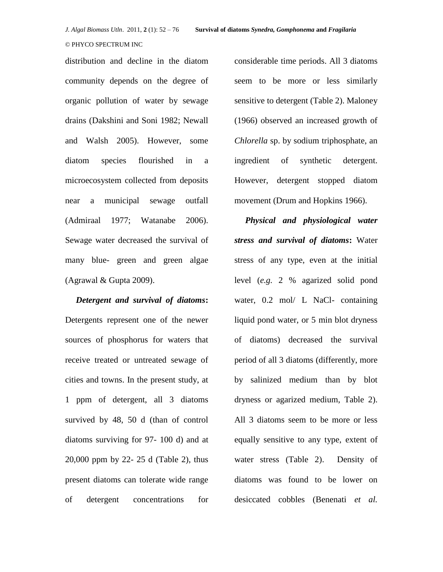distribution and decline in the diatom community depends on the degree of organic pollution of water by sewage drains (Dakshini and Soni 1982; Newall and Walsh 2005). However, some diatom species flourished in a microecosystem collected from deposits near a municipal sewage outfall (Admiraal 1977; Watanabe 2006). Sewage water decreased the survival of many blue- green and green algae (Agrawal  $&$  Gupta 2009).

 *Detergent and survival of diatoms***:** Detergents represent one of the newer sources of phosphorus for waters that receive treated or untreated sewage of cities and towns. In the present study, at 1 ppm of detergent, all 3 diatoms survived by 48, 50 d (than of control diatoms surviving for 97- 100 d) and at 20,000 ppm by 22- 25 d (Table 2), thus present diatoms can tolerate wide range of detergent concentrations for

considerable time periods. All 3 diatoms seem to be more or less similarly sensitive to detergent (Table 2). Maloney (1966) observed an increased growth of *Chlorella* sp. by sodium triphosphate, an ingredient of synthetic detergent. However, detergent stopped diatom movement (Drum and Hopkins 1966).

 *Physical and physiological water stress and survival of diatoms***:** Water stress of any type, even at the initial level (*e.g.* 2 % agarized solid pond water, 0.2 mol/ L NaCl- containing liquid pond water, or 5 min blot dryness of diatoms) decreased the survival period of all 3 diatoms (differently, more by salinized medium than by blot dryness or agarized medium, Table 2). All 3 diatoms seem to be more or less equally sensitive to any type, extent of water stress (Table 2). Density of diatoms was found to be lower on desiccated cobbles (Benenati *et al.*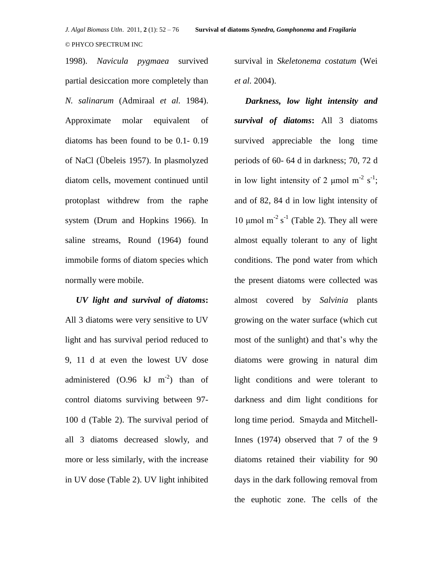1998). *Navicula pygmaea* survived partial desiccation more completely than *N. salinarum* (Admiraal *et al.* 1984). Approximate molar equivalent of diatoms has been found to be 0.1- 0.19 of NaCl (Übeleis 1957). In plasmolyzed diatom cells, movement continued until protoplast withdrew from the raphe system (Drum and Hopkins 1966). In saline streams, Round (1964) found immobile forms of diatom species which normally were mobile.

*UV light and survival of diatoms***:** All 3 diatoms were very sensitive to UV light and has survival period reduced to 9, 11 d at even the lowest UV dose administered  $(0.96 \text{ kJ m}^{-2})$  than of control diatoms surviving between 97- 100 d (Table 2). The survival period of all 3 diatoms decreased slowly, and more or less similarly, with the increase in UV dose (Table 2). UV light inhibited

survival in *Skeletonema costatum* (Wei *et al.* 2004).

*Darkness, low light intensity and survival of diatoms***:** All 3 diatoms survived appreciable the long time periods of 60- 64 d in darkness; 70, 72 d in low light intensity of 2  $\mu$ mol m<sup>-2</sup> s<sup>-1</sup>; and of 82, 84 d in low light intensity of 10 μmol m<sup>-2</sup> s<sup>-1</sup> (Table 2). They all were almost equally tolerant to any of light conditions. The pond water from which the present diatoms were collected was almost covered by *Salvinia* plants growing on the water surface (which cut most of the sunlight) and that's why the diatoms were growing in natural dim light conditions and were tolerant to darkness and dim light conditions for long time period. Smayda and Mitchell-Innes (1974) observed that 7 of the 9 diatoms retained their viability for 90 days in the dark following removal from the euphotic zone. The cells of the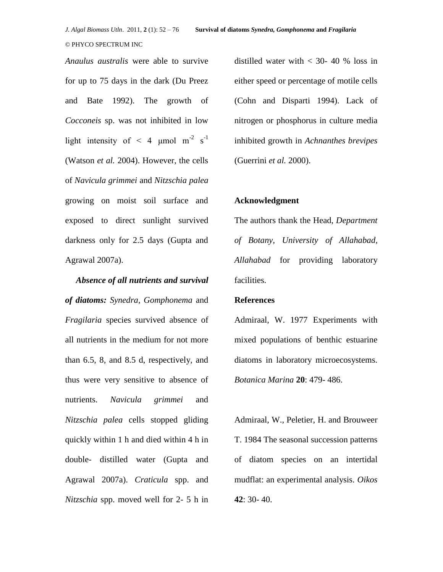*Anaulus australis* were able to survive for up to 75 days in the dark (Du Preez and Bate 1992). The growth of *Cocconeis* sp. was not inhibited in low light intensity of  $\leq 4$  µmol m<sup>-2</sup> s<sup>-1</sup> (Watson *et al.* 2004). However, the cells of *Navicula grimmei* and *Nitzschia palea*  growing on moist soil surface and exposed to direct sunlight survived darkness only for 2.5 days (Gupta and Agrawal 2007a).

 *Absence of all nutrients and survival of diatoms: Synedra, Gomphonema* and *Fragilaria* species survived absence of all nutrients in the medium for not more than 6.5, 8, and 8.5 d, respectively, and thus were very sensitive to absence of nutrients. *Navicula grimmei* and *Nitzschia palea* cells stopped gliding quickly within 1 h and died within 4 h in double- distilled water (Gupta and Agrawal 2007a). *Craticula* spp. and *Nitzschia* spp. moved well for 2- 5 h in distilled water with  $<$  30- 40 % loss in either speed or percentage of motile cells (Cohn and Disparti 1994). Lack of nitrogen or phosphorus in culture media inhibited growth in *Achnanthes brevipes*  (Guerrini *et al.* 2000).

#### **Acknowledgment**

The authors thank the Head, *Department of Botany, University of Allahabad, Allahabad* for providing laboratory facilities.

#### **References**

Admiraal, W. 1977 Experiments with mixed populations of benthic estuarine diatoms in laboratory microecosystems. *Botanica Marina* **20**: 479- 486.

Admiraal, W., Peletier, H. and Brouweer T. 1984 The seasonal succession patterns of diatom species on an intertidal mudflat: an experimental analysis. *Oikos*  **42**: 30- 40.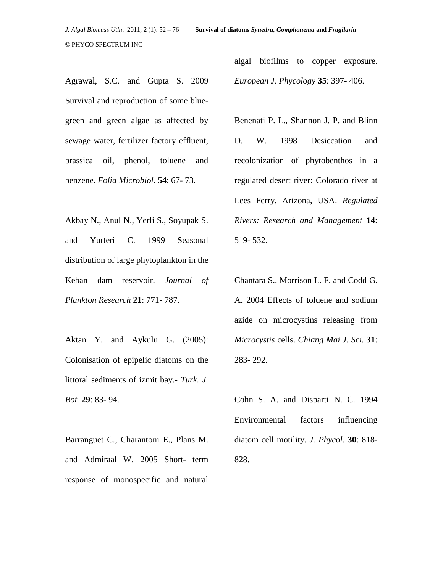Agrawal, S.C. and Gupta S. 2009 Survival and reproduction of some bluegreen and green algae as affected by sewage water, fertilizer factory effluent, brassica oil, phenol, toluene and benzene. *Folia Microbiol.* **54**: 67- 73.

Akbay N., Anul N., Yerli S., Soyupak S. and Yurteri C. 1999 Seasonal distribution of large phytoplankton in the Keban dam reservoir. *Journal of Plankton Research* **21**: 771- 787.

Aktan Y. and Aykulu G. (2005): Colonisation of epipelic diatoms on the littoral sediments of izmit bay.- *Turk. J. Bot.* **29**: 83- 94.

Barranguet C., Charantoni E., Plans M. and Admiraal W. 2005 Short- term response of monospecific and natural

algal biofilms to copper exposure. *European J. Phycology* **35**: 397- 406.

Benenati P. L., Shannon J. P. and Blinn D. W. 1998 Desiccation and recolonization of phytobenthos in a regulated desert river: Colorado river at Lees Ferry, Arizona, USA. *Regulated Rivers: Research and Management* **14**: 519- 532.

Chantara S., Morrison L. F. and Codd G. A. 2004 Effects of toluene and sodium azide on microcystins releasing from *Microcystis* cells. *Chiang Mai J. Sci.* **31**: 283- 292.

Cohn S. A. and Disparti N. C. 1994 Environmental factors influencing diatom cell motility. *J. Phycol.* **30**: 818- 828.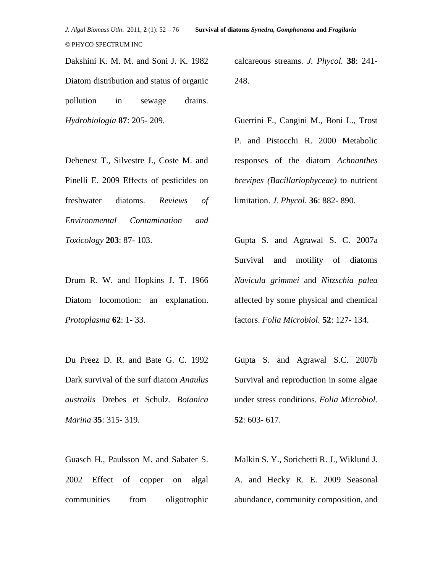Dakshini K. M. M. and Soni J. K. 1982 Diatom distribution and status of organic pollution in sewage drains. *Hydrobiologia* **87**: 205- 209.

calcareous streams. *J. Phycol.* **38**: 241- 248.

Guerrini F., Cangini M., Boni L., Trost P. and Pistocchi R. 2000 Metabolic responses of the diatom *Achnanthes brevipes (Bacillariophyceae)* to nutrient limitation. *J. Phycol.* **36**: 882- 890.

Debenest T., Silvestre J., Coste M. and Pinelli E. 2009 Effects of pesticides on freshwater diatoms. *Reviews of Environmental Contamination and Toxicology* **203**: 87- 103.

Drum R. W. and Hopkins J. T. 1966 Diatom locomotion: an explanation. *Protoplasma* **62**: 1- 33.

Du Preez D. R. and Bate G. C. 1992 Dark survival of the surf diatom *Anaulus australis* Drebes et Schulz. *Botanica Marina* **35**: 315- 319.

Guasch H., Paulsson M. and Sabater S. 2002 Effect of copper on algal communities from oligotrophic

Gupta S. and Agrawal S. C. 2007a Survival and motility of diatoms *Navicula grimmei* and *Nitzschia palea*  affected by some physical and chemical factors. *Folia Microbiol.* **52**: 127- 134.

Gupta S. and Agrawal S.C. 2007b Survival and reproduction in some algae under stress conditions. *Folia Microbiol.* **52**: 603- 617.

Malkin S. Y., Sorichetti R. J., Wiklund J. A. and Hecky R. E. 2009 Seasonal abundance, community composition, and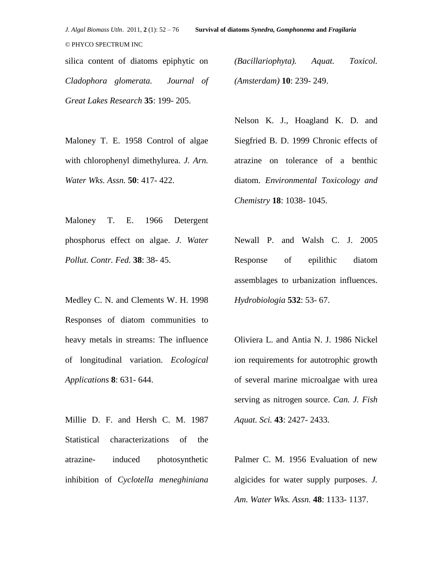*J. Algal Biomass Utln*. 2011, **2** (1): 52 – 76 **Survival of diatoms** *Synedra, Gomphonema* **and** *Fragilaria*

silica content of diatoms epiphytic on *Cladophora glomerata. Journal of Great Lakes Research* **35**: 199- 205.

*(Bacillariophyta). Aquat. Toxicol. (Amsterdam)* **10**: 239- 249.

Maloney T. E. 1958 Control of algae with chlorophenyl dimethylurea. *J. Arn. Water Wks. Assn.* **50**: 417- 422.

Maloney T. E. 1966 Detergent phosphorus effect on algae. *J. Water Pollut. Contr. Fed.* **38**: 38- 45.

Medley C. N. and Clements W. H. 1998 Responses of diatom communities to heavy metals in streams: The influence of longitudinal variation. *Ecological Applications* **8**: 631- 644.

Millie D. F. and Hersh C. M. 1987 Statistical characterizations of the atrazine- induced photosynthetic inhibition of *Cyclotella meneghiniana*  Nelson K. J., Hoagland K. D. and Siegfried B. D. 1999 Chronic effects of atrazine on tolerance of a benthic diatom. *Environmental Toxicology and Chemistry* **18**: 1038- 1045.

Newall P. and Walsh C. J. 2005 Response of epilithic diatom assemblages to urbanization influences. *Hydrobiologia* **532**: 53- 67.

Oliviera L. and Antia N. J. 1986 Nickel ion requirements for autotrophic growth of several marine microalgae with urea serving as nitrogen source. *Can. J. Fish Aquat. Sci.* **43**: 2427- 2433.

Palmer C. M. 1956 Evaluation of new algicides for water supply purposes. *J. Am. Water Wks. Assn.* **48**: 1133- 1137.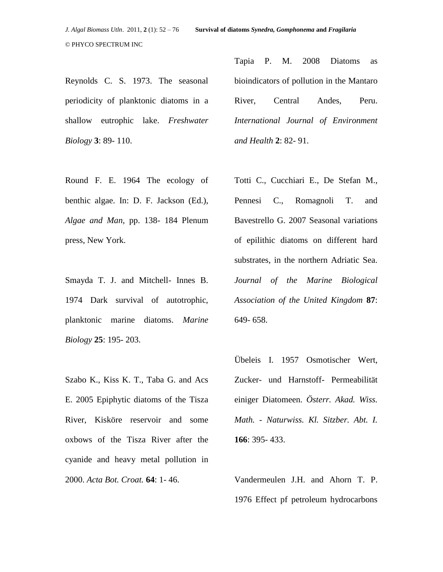Reynolds C. S. 1973. The seasonal periodicity of planktonic diatoms in a shallow eutrophic lake. *Freshwater Biology* **3**: 89- 110.

Round F. E. 1964 The ecology of benthic algae. In: D. F. Jackson (Ed.), *Algae and Man,* pp. 138- 184 Plenum press, New York.

Smayda T. J. and Mitchell- Innes B. 1974 Dark survival of autotrophic, planktonic marine diatoms. *Marine Biology* **25**: 195- 203.

Szabo K., Kiss K. T., Taba G. and Acs E. 2005 Epiphytic diatoms of the Tisza River, Kisköre reservoir and some oxbows of the Tisza River after the cyanide and heavy metal pollution in 2000. *Acta Bot. Croat.* **64**: 1- 46.

Tapia P. M. 2008 Diatoms as bioindicators of pollution in the Mantaro River, Central Andes, Peru. *International Journal of Environment and Health* **2**: 82- 91.

Totti C., Cucchiari E., De Stefan M., Pennesi C., Romagnoli T. and Bavestrello G. 2007 Seasonal variations of epilithic diatoms on different hard substrates, in the northern Adriatic Sea. *Journal of the Marine Biological Association of the United Kingdom* **87**: 649- 658.

Übeleis I. 1957 Osmotischer Wert, Zucker- und Harnstoff- Permeabilität einiger Diatomeen. *Österr. Akad. Wiss. Math. - Naturwiss. Kl. Sitzber. Abt. I.*  **166**: 395- 433.

Vandermeulen J.H. and Ahorn T. P. 1976 Effect pf petroleum hydrocarbons